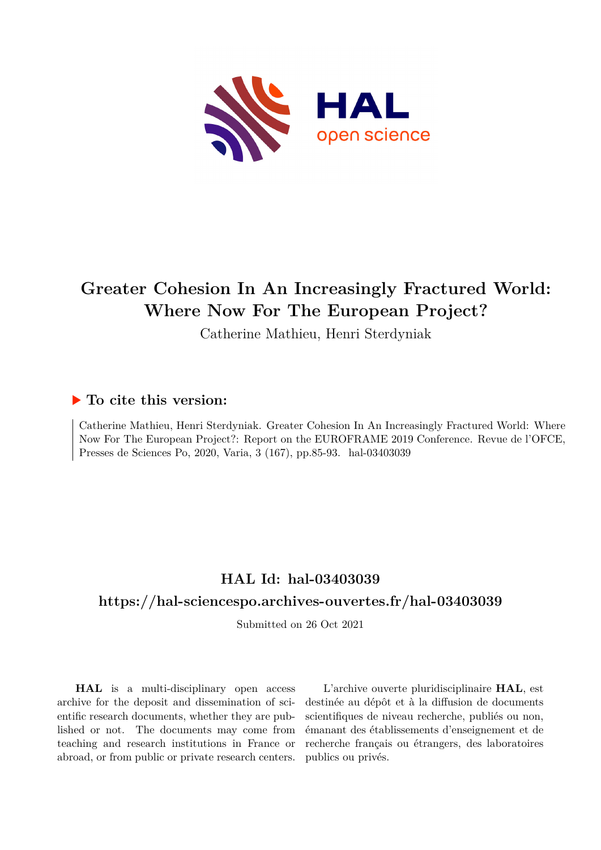

# **Greater Cohesion In An Increasingly Fractured World: Where Now For The European Project?**

Catherine Mathieu, Henri Sterdyniak

## **To cite this version:**

Catherine Mathieu, Henri Sterdyniak. Greater Cohesion In An Increasingly Fractured World: Where Now For The European Project?: Report on the EUROFRAME 2019 Conference. Revue de l'OFCE, Presses de Sciences Po, 2020, Varia, 3 (167), pp.85-93. hal-03403039

## **HAL Id: hal-03403039**

## **<https://hal-sciencespo.archives-ouvertes.fr/hal-03403039>**

Submitted on 26 Oct 2021

**HAL** is a multi-disciplinary open access archive for the deposit and dissemination of scientific research documents, whether they are published or not. The documents may come from teaching and research institutions in France or abroad, or from public or private research centers.

L'archive ouverte pluridisciplinaire **HAL**, est destinée au dépôt et à la diffusion de documents scientifiques de niveau recherche, publiés ou non, émanant des établissements d'enseignement et de recherche français ou étrangers, des laboratoires publics ou privés.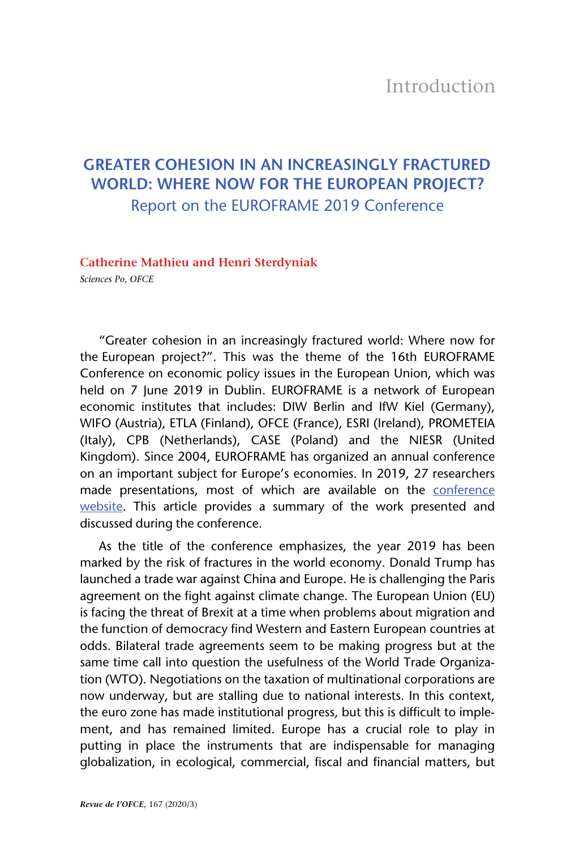## **GREATER COHESION IN AN INCREASINGLY FRACTURED WORLD: WHERE NOW FOR THE EUROPEAN PROJECT?** Report on the EUROFRAME 2019 Conference

#### **Catherine Mathieu and Henri Sterdyniak**

*Sciences Po, OFCE*

"Greater cohesion in an increasingly fractured world: Where now for the European project?". This was the theme of the 16th EUROFRAME Conference on economic policy issues in the European Union, which was held on 7 June 2019 in Dublin. EUROFRAME is a network of European economic institutes that includes: DIW Berlin and IfW Kiel (Germany), WIFO (Austria), ETLA (Finland), OFCE (France), ESRI (Ireland), PROMETEIA (Italy), CPB (Netherlands), CASE (Poland) and the NIESR (United Kingdom). Since 2004, EUROFRAME has organized an annual conference on an important subject for Europe's economies. In 2019, 27 researchers made presentations, most of which are available on the [conference](https://www.euroframe.org/conferences.html) [website](https://www.euroframe.org/conferences.html). This article provides a summary of the work presented and discussed during the conference.

As the title of the conference emphasizes, the year 2019 has been marked by the risk of fractures in the world economy. Donald Trump has launched a trade war against China and Europe. He is challenging the Paris agreement on the fight against climate change. The European Union (EU) is facing the threat of Brexit at a time when problems about migration and the function of democracy find Western and Eastern European countries at odds. Bilateral trade agreements seem to be making progress but at the same time call into question the usefulness of the World Trade Organization (WTO). Negotiations on the taxation of multinational corporations are now underway, but are stalling due to national interests. In this context, the euro zone has made institutional progress, but this is difficult to implement, and has remained limited. Europe has a crucial role to play in putting in place the instruments that are indispensable for managing globalization, in ecological, commercial, fiscal and financial matters, but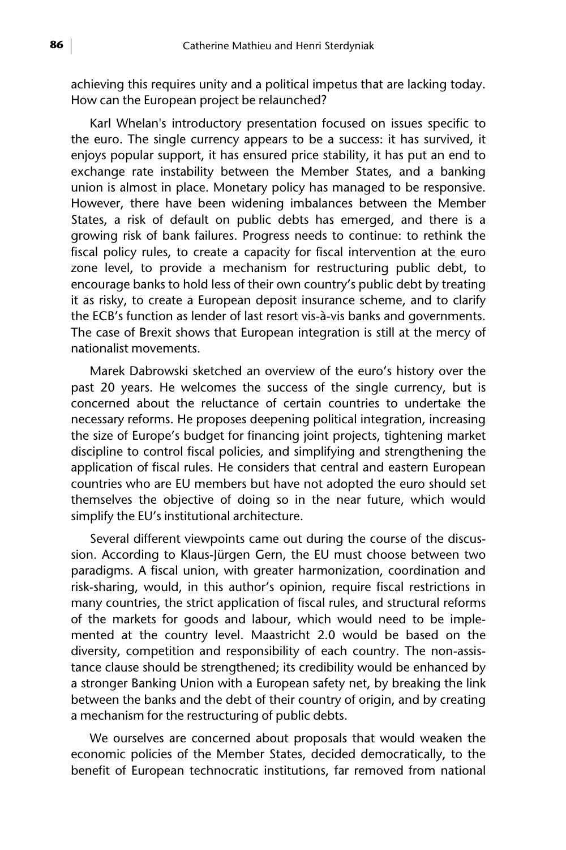achieving this requires unity and a political impetus that are lacking today. How can the European project be relaunched?

Karl Whelan's introductory presentation focused on issues specific to the euro. The single currency appears to be a success: it has survived, it enjoys popular support, it has ensured price stability, it has put an end to exchange rate instability between the Member States, and a banking union is almost in place. Monetary policy has managed to be responsive. However, there have been widening imbalances between the Member States, a risk of default on public debts has emerged, and there is a growing risk of bank failures. Progress needs to continue: to rethink the fiscal policy rules, to create a capacity for fiscal intervention at the euro zone level, to provide a mechanism for restructuring public debt, to encourage banks to hold less of their own country's public debt by treating it as risky, to create a European deposit insurance scheme, and to clarify the ECB's function as lender of last resort vis-à-vis banks and governments. The case of Brexit shows that European integration is still at the mercy of nationalist movements.

Marek Dabrowski sketched an overview of the euro's history over the past 20 years. He welcomes the success of the single currency, but is concerned about the reluctance of certain countries to undertake the necessary reforms. He proposes deepening political integration, increasing the size of Europe's budget for financing joint projects, tightening market discipline to control fiscal policies, and simplifying and strengthening the application of fiscal rules. He considers that central and eastern European countries who are EU members but have not adopted the euro should set themselves the objective of doing so in the near future, which would simplify the EU's institutional architecture.

Several different viewpoints came out during the course of the discussion. According to Klaus-Jürgen Gern, the EU must choose between two paradigms. A fiscal union, with greater harmonization, coordination and risk-sharing, would, in this author's opinion, require fiscal restrictions in many countries, the strict application of fiscal rules, and structural reforms of the markets for goods and labour, which would need to be implemented at the country level. Maastricht 2.0 would be based on the diversity, competition and responsibility of each country. The non-assistance clause should be strengthened; its credibility would be enhanced by a stronger Banking Union with a European safety net, by breaking the link between the banks and the debt of their country of origin, and by creating a mechanism for the restructuring of public debts.

We ourselves are concerned about proposals that would weaken the economic policies of the Member States, decided democratically, to the benefit of European technocratic institutions, far removed from national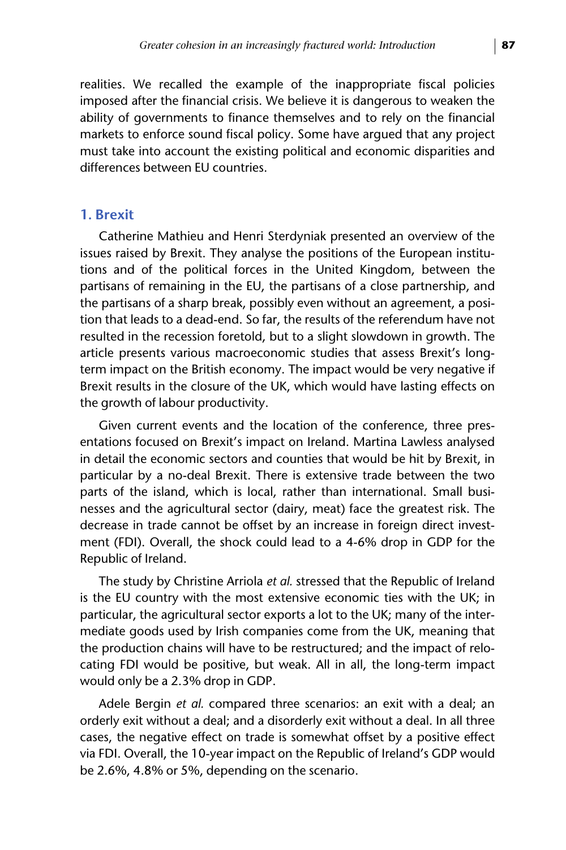realities. We recalled the example of the inappropriate fiscal policies imposed after the financial crisis. We believe it is dangerous to weaken the ability of governments to finance themselves and to rely on the financial markets to enforce sound fiscal policy. Some have argued that any project must take into account the existing political and economic disparities and differences between EU countries.

#### **1. Brexit**

Catherine Mathieu and Henri Sterdyniak presented an overview of the issues raised by Brexit. They analyse the positions of the European institutions and of the political forces in the United Kingdom, between the partisans of remaining in the EU, the partisans of a close partnership, and the partisans of a sharp break, possibly even without an agreement, a position that leads to a dead-end. So far, the results of the referendum have not resulted in the recession foretold, but to a slight slowdown in growth. The article presents various macroeconomic studies that assess Brexit's longterm impact on the British economy. The impact would be very negative if Brexit results in the closure of the UK, which would have lasting effects on the growth of labour productivity.

Given current events and the location of the conference, three presentations focused on Brexit's impact on Ireland. Martina Lawless analysed in detail the economic sectors and counties that would be hit by Brexit, in particular by a no-deal Brexit. There is extensive trade between the two parts of the island, which is local, rather than international. Small businesses and the agricultural sector (dairy, meat) face the greatest risk. The decrease in trade cannot be offset by an increase in foreign direct investment (FDI). Overall, the shock could lead to a 4-6% drop in GDP for the Republic of Ireland.

The study by Christine Arriola *et al.* stressed that the Republic of Ireland is the EU country with the most extensive economic ties with the UK; in particular, the agricultural sector exports a lot to the UK; many of the intermediate goods used by Irish companies come from the UK, meaning that the production chains will have to be restructured; and the impact of relocating FDI would be positive, but weak. All in all, the long-term impact would only be a 2.3% drop in GDP.

Adele Bergin *et al.* compared three scenarios: an exit with a deal; an orderly exit without a deal; and a disorderly exit without a deal. In all three cases, the negative effect on trade is somewhat offset by a positive effect via FDI. Overall, the 10-year impact on the Republic of Ireland's GDP would be 2.6%, 4.8% or 5%, depending on the scenario.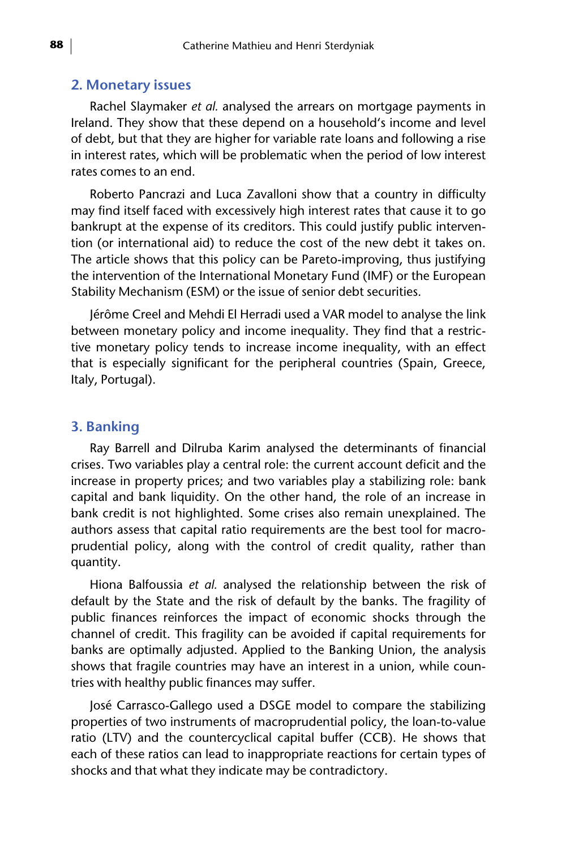#### **2. Monetary issues**

Rachel Slaymaker *et al.* analysed the arrears on mortgage payments in Ireland. They show that these depend on a household's income and level of debt, but that they are higher for variable rate loans and following a rise in interest rates, which will be problematic when the period of low interest rates comes to an end.

Roberto Pancrazi and Luca Zavalloni show that a country in difficulty may find itself faced with excessively high interest rates that cause it to go bankrupt at the expense of its creditors. This could justify public intervention (or international aid) to reduce the cost of the new debt it takes on. The article shows that this policy can be Pareto-improving, thus justifying the intervention of the International Monetary Fund (IMF) or the European Stability Mechanism (ESM) or the issue of senior debt securities.

Jérôme Creel and Mehdi El Herradi used a VAR model to analyse the link between monetary policy and income inequality. They find that a restrictive monetary policy tends to increase income inequality, with an effect that is especially significant for the peripheral countries (Spain, Greece, Italy, Portugal).

#### **3. Banking**

Ray Barrell and Dilruba Karim analysed the determinants of financial crises. Two variables play a central role: the current account deficit and the increase in property prices; and two variables play a stabilizing role: bank capital and bank liquidity. On the other hand, the role of an increase in bank credit is not highlighted. Some crises also remain unexplained. The authors assess that capital ratio requirements are the best tool for macroprudential policy, along with the control of credit quality, rather than quantity.

Hiona Balfoussia *et al.* analysed the relationship between the risk of default by the State and the risk of default by the banks. The fragility of public finances reinforces the impact of economic shocks through the channel of credit. This fragility can be avoided if capital requirements for banks are optimally adjusted. Applied to the Banking Union, the analysis shows that fragile countries may have an interest in a union, while countries with healthy public finances may suffer.

José Carrasco-Gallego used a DSGE model to compare the stabilizing properties of two instruments of macroprudential policy, the loan-to-value ratio (LTV) and the countercyclical capital buffer (CCB). He shows that each of these ratios can lead to inappropriate reactions for certain types of shocks and that what they indicate may be contradictory.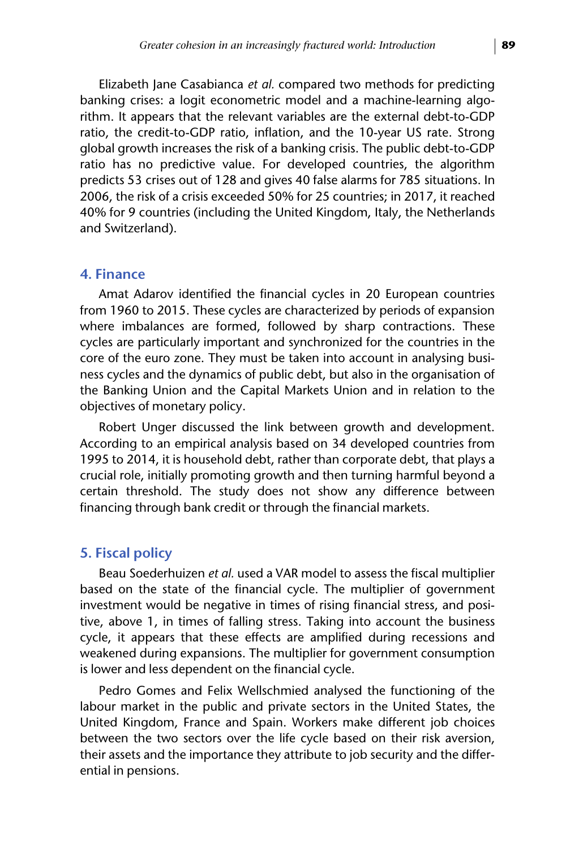Elizabeth Jane Casabianca *et al.* compared two methods for predicting banking crises: a logit econometric model and a machine-learning algorithm. It appears that the relevant variables are the external debt-to-GDP ratio, the credit-to-GDP ratio, inflation, and the 10-year US rate. Strong global growth increases the risk of a banking crisis. The public debt-to-GDP ratio has no predictive value. For developed countries, the algorithm predicts 53 crises out of 128 and gives 40 false alarms for 785 situations. In 2006, the risk of a crisis exceeded 50% for 25 countries; in 2017, it reached 40% for 9 countries (including the United Kingdom, Italy, the Netherlands and Switzerland).

#### **4. Finance**

Amat Adarov identified the financial cycles in 20 European countries from 1960 to 2015. These cycles are characterized by periods of expansion where imbalances are formed, followed by sharp contractions. These cycles are particularly important and synchronized for the countries in the core of the euro zone. They must be taken into account in analysing business cycles and the dynamics of public debt, but also in the organisation of the Banking Union and the Capital Markets Union and in relation to the objectives of monetary policy.

Robert Unger discussed the link between growth and development. According to an empirical analysis based on 34 developed countries from 1995 to 2014, it is household debt, rather than corporate debt, that plays a crucial role, initially promoting growth and then turning harmful beyond a certain threshold. The study does not show any difference between financing through bank credit or through the financial markets.

#### **5. Fiscal policy**

Beau Soederhuizen *et al.* used a VAR model to assess the fiscal multiplier based on the state of the financial cycle. The multiplier of government investment would be negative in times of rising financial stress, and positive, above 1, in times of falling stress. Taking into account the business cycle, it appears that these effects are amplified during recessions and weakened during expansions. The multiplier for government consumption is lower and less dependent on the financial cycle.

Pedro Gomes and Felix Wellschmied analysed the functioning of the labour market in the public and private sectors in the United States, the United Kingdom, France and Spain. Workers make different job choices between the two sectors over the life cycle based on their risk aversion, their assets and the importance they attribute to job security and the differential in pensions.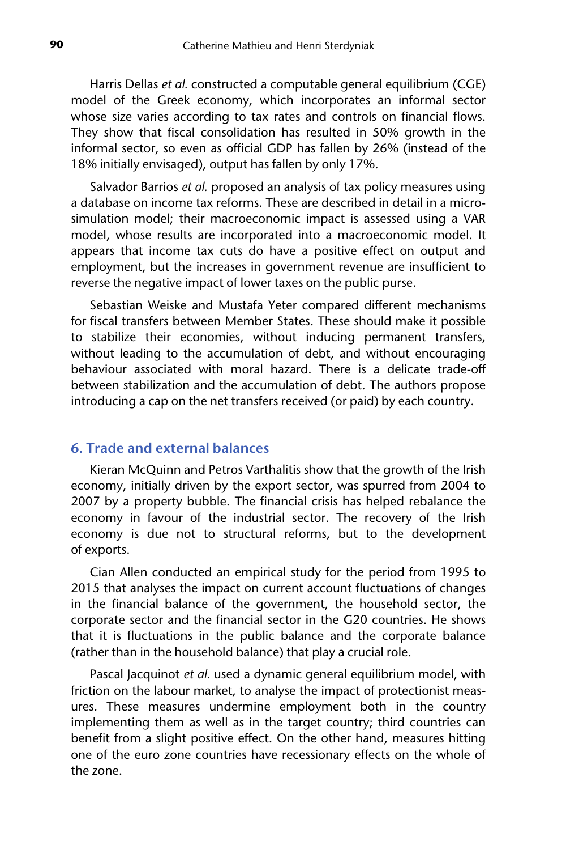Harris Dellas *et al.* constructed a computable general equilibrium (CGE) model of the Greek economy, which incorporates an informal sector whose size varies according to tax rates and controls on financial flows. They show that fiscal consolidation has resulted in 50% growth in the informal sector, so even as official GDP has fallen by 26% (instead of the 18% initially envisaged), output has fallen by only 17%.

Salvador Barrios *et al.* proposed an analysis of tax policy measures using a database on income tax reforms. These are described in detail in a microsimulation model; their macroeconomic impact is assessed using a VAR model, whose results are incorporated into a macroeconomic model. It appears that income tax cuts do have a positive effect on output and employment, but the increases in government revenue are insufficient to reverse the negative impact of lower taxes on the public purse.

Sebastian Weiske and Mustafa Yeter compared different mechanisms for fiscal transfers between Member States. These should make it possible to stabilize their economies, without inducing permanent transfers, without leading to the accumulation of debt, and without encouraging behaviour associated with moral hazard. There is a delicate trade-off between stabilization and the accumulation of debt. The authors propose introducing a cap on the net transfers received (or paid) by each country.

#### **6. Trade and external balances**

Kieran McQuinn and Petros Varthalitis show that the growth of the Irish economy, initially driven by the export sector, was spurred from 2004 to 2007 by a property bubble. The financial crisis has helped rebalance the economy in favour of the industrial sector. The recovery of the Irish economy is due not to structural reforms, but to the development of exports.

Cian Allen conducted an empirical study for the period from 1995 to 2015 that analyses the impact on current account fluctuations of changes in the financial balance of the government, the household sector, the corporate sector and the financial sector in the G20 countries. He shows that it is fluctuations in the public balance and the corporate balance (rather than in the household balance) that play a crucial role.

Pascal Jacquinot *et al.* used a dynamic general equilibrium model, with friction on the labour market, to analyse the impact of protectionist measures. These measures undermine employment both in the country implementing them as well as in the target country; third countries can benefit from a slight positive effect. On the other hand, measures hitting one of the euro zone countries have recessionary effects on the whole of the zone.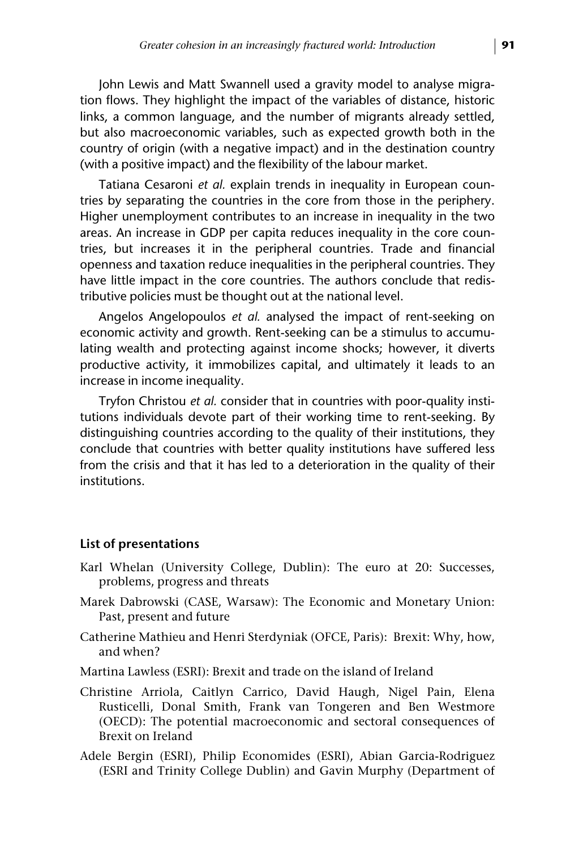John Lewis and Matt Swannell used a gravity model to analyse migration flows. They highlight the impact of the variables of distance, historic links, a common language, and the number of migrants already settled, but also macroeconomic variables, such as expected growth both in the country of origin (with a negative impact) and in the destination country (with a positive impact) and the flexibility of the labour market.

Tatiana Cesaroni *et al.* explain trends in inequality in European countries by separating the countries in the core from those in the periphery. Higher unemployment contributes to an increase in inequality in the two areas. An increase in GDP per capita reduces inequality in the core countries, but increases it in the peripheral countries. Trade and financial openness and taxation reduce inequalities in the peripheral countries. They have little impact in the core countries. The authors conclude that redistributive policies must be thought out at the national level.

Angelos Angelopoulos *et al.* analysed the impact of rent-seeking on economic activity and growth. Rent-seeking can be a stimulus to accumulating wealth and protecting against income shocks; however, it diverts productive activity, it immobilizes capital, and ultimately it leads to an increase in income inequality.

Tryfon Christou *et al.* consider that in countries with poor-quality institutions individuals devote part of their working time to rent-seeking. By distinguishing countries according to the quality of their institutions, they conclude that countries with better quality institutions have suffered less from the crisis and that it has led to a deterioration in the quality of their institutions.

#### **List of presentations**

- Karl Whelan (University College, Dublin): The euro at 20: Successes, problems, progress and threats
- Marek Dabrowski (CASE, Warsaw): The Economic and Monetary Union: Past, present and future
- Catherine Mathieu and Henri Sterdyniak (OFCE, Paris): Brexit: Why, how, and when?
- Martina Lawless (ESRI): Brexit and trade on the island of Ireland
- Christine Arriola, Caitlyn Carrico, David Haugh, Nigel Pain, Elena Rusticelli, Donal Smith, Frank van Tongeren and Ben Westmore (OECD): The potential macroeconomic and sectoral consequences of Brexit on Ireland
- Adele Bergin (ESRI), Philip Economides (ESRI), Abian Garcia-Rodriguez (ESRI and Trinity College Dublin) and Gavin Murphy (Department of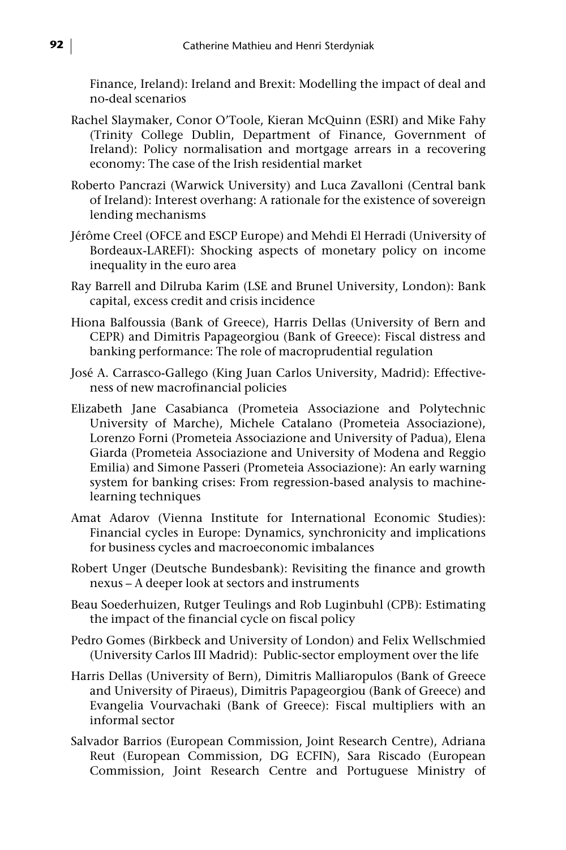Finance, Ireland): Ireland and Brexit: Modelling the impact of deal and no-deal scenarios

- Rachel Slaymaker, Conor O'Toole, Kieran McQuinn (ESRI) and Mike Fahy (Trinity College Dublin, Department of Finance, Government of Ireland): Policy normalisation and mortgage arrears in a recovering economy: The case of the Irish residential market
- Roberto Pancrazi (Warwick University) and Luca Zavalloni (Central bank of Ireland): Interest overhang: A rationale for the existence of sovereign lending mechanisms
- Jérôme Creel (OFCE and ESCP Europe) and Mehdi El Herradi (University of Bordeaux-LAREFI): Shocking aspects of monetary policy on income inequality in the euro area
- Ray Barrell and Dilruba Karim (LSE and Brunel University, London): Bank capital, excess credit and crisis incidence
- Hiona Balfoussia (Bank of Greece), Harris Dellas (University of Bern and CEPR) and Dimitris Papageorgiou (Bank of Greece): Fiscal distress and banking performance: The role of macroprudential regulation
- José A. Carrasco-Gallego (King Juan Carlos University, Madrid): Effectiveness of new macrofinancial policies
- Elizabeth Jane Casabianca (Prometeia Associazione and Polytechnic University of Marche), Michele Catalano (Prometeia Associazione), Lorenzo Forni (Prometeia Associazione and University of Padua), Elena Giarda (Prometeia Associazione and University of Modena and Reggio Emilia) and Simone Passeri (Prometeia Associazione): An early warning system for banking crises: From regression-based analysis to machinelearning techniques
- Amat Adarov (Vienna Institute for International Economic Studies): Financial cycles in Europe: Dynamics, synchronicity and implications for business cycles and macroeconomic imbalances
- Robert Unger (Deutsche Bundesbank): Revisiting the finance and growth nexus – A deeper look at sectors and instruments
- Beau Soederhuizen, Rutger Teulings and Rob Luginbuhl (CPB): Estimating the impact of the financial cycle on fiscal policy
- Pedro Gomes (Birkbeck and University of London) and Felix Wellschmied (University Carlos III Madrid): Public-sector employment over the life
- Harris Dellas (University of Bern), Dimitris Malliaropulos (Bank of Greece and University of Piraeus), Dimitris Papageorgiou (Bank of Greece) and Evangelia Vourvachaki (Bank of Greece): Fiscal multipliers with an informal sector
- Salvador Barrios (European Commission, Joint Research Centre), Adriana Reut (European Commission, DG ECFIN), Sara Riscado (European Commission, Joint Research Centre and Portuguese Ministry of